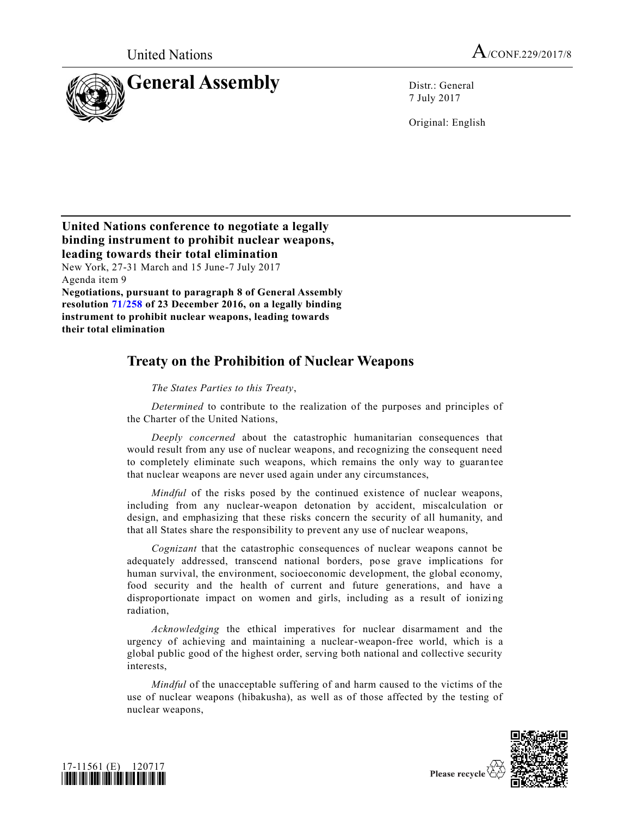

7 July 2017

Original: English

### **United Nations conference to negotiate a legally binding instrument to prohibit nuclear weapons, leading towards their total elimination** New York, 27-31 March and 15 June-7 July 2017 Agenda item 9

**Negotiations, pursuant to paragraph 8 of General Assembly resolution [71/258](https://undocs.org/A/RES/71/258) of 23 December 2016, on a legally binding instrument to prohibit nuclear weapons, leading towards their total elimination**

# **Treaty on the Prohibition of Nuclear Weapons**

#### *The States Parties to this Treaty*,

*Determined* to contribute to the realization of the purposes and principles of the Charter of the United Nations,

*Deeply concerned* about the catastrophic humanitarian consequences that would result from any use of nuclear weapons, and recognizing the consequent need to completely eliminate such weapons, which remains the only way to guarantee that nuclear weapons are never used again under any circumstances,

*Mindful* of the risks posed by the continued existence of nuclear weapons, including from any nuclear-weapon detonation by accident, miscalculation or design, and emphasizing that these risks concern the security of all humanity, and that all States share the responsibility to prevent any use of nuclear weapons,

*Cognizant* that the catastrophic consequences of nuclear weapons cannot be adequately addressed, transcend national borders, pose grave implications for human survival, the environment, socioeconomic development, the global economy, food security and the health of current and future generations, and have a disproportionate impact on women and girls, including as a result of ionizing radiation,

*Acknowledging* the ethical imperatives for nuclear disarmament and the urgency of achieving and maintaining a nuclear-weapon-free world, which is a global public good of the highest order, serving both national and collective security interests,

*Mindful* of the unacceptable suffering of and harm caused to the victims of the use of nuclear weapons (hibakusha), as well as of those affected by the testing of nuclear weapons,





Please recycle  $\overline{\mathcal{C}}$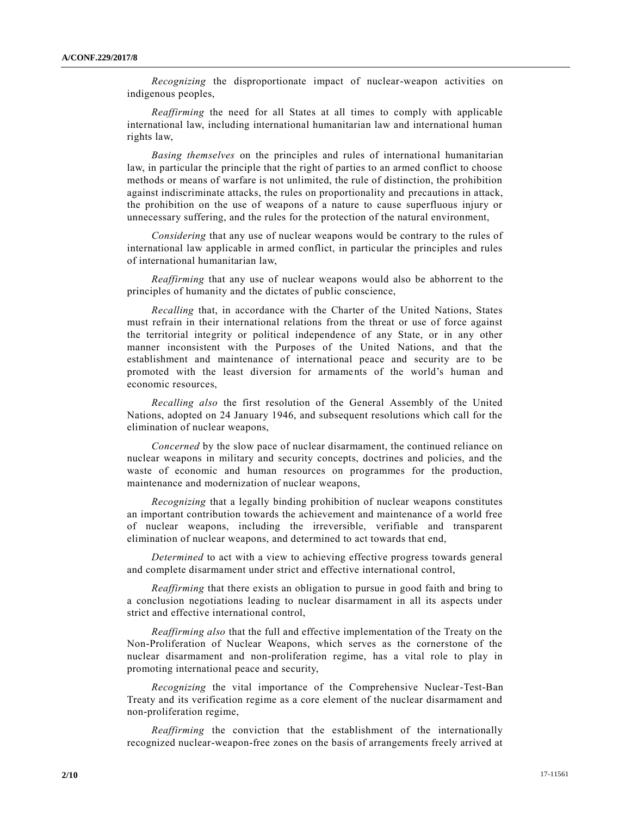*Recognizing* the disproportionate impact of nuclear-weapon activities on indigenous peoples,

*Reaffirming* the need for all States at all times to comply with applicable international law, including international humanitarian law and international human rights law,

*Basing themselves* on the principles and rules of international humanitarian law, in particular the principle that the right of parties to an armed conflict to choose methods or means of warfare is not unlimited, the rule of distinction, the prohibition against indiscriminate attacks, the rules on proportionality and precautions in attack, the prohibition on the use of weapons of a nature to cause superfluous injury or unnecessary suffering, and the rules for the protection of the natural environment,

*Considering* that any use of nuclear weapons would be contrary to the rules of international law applicable in armed conflict, in particular the principles and rules of international humanitarian law,

*Reaffirming* that any use of nuclear weapons would also be abhorrent to the principles of humanity and the dictates of public conscience,

*Recalling* that, in accordance with the Charter of the United Nations, States must refrain in their international relations from the threat or use of force against the territorial integrity or political independence of any State, or in any other manner inconsistent with the Purposes of the United Nations, and that the establishment and maintenance of international peace and security are to be promoted with the least diversion for armaments of the world's human and economic resources,

*Recalling also* the first resolution of the General Assembly of the United Nations, adopted on 24 January 1946, and subsequent resolutions which call for the elimination of nuclear weapons,

*Concerned* by the slow pace of nuclear disarmament, the continued reliance on nuclear weapons in military and security concepts, doctrines and policies, and the waste of economic and human resources on programmes for the production, maintenance and modernization of nuclear weapons,

*Recognizing* that a legally binding prohibition of nuclear weapons constitutes an important contribution towards the achievement and maintenance of a world free of nuclear weapons, including the irreversible, verifiable and transparent elimination of nuclear weapons, and determined to act towards that end,

*Determined* to act with a view to achieving effective progress towards general and complete disarmament under strict and effective international control,

*Reaffirming* that there exists an obligation to pursue in good faith and bring to a conclusion negotiations leading to nuclear disarmament in all its aspects under strict and effective international control,

*Reaffirming also* that the full and effective implementation of the Treaty on the Non-Proliferation of Nuclear Weapons, which serves as the cornerstone of the nuclear disarmament and non-proliferation regime, has a vital role to play in promoting international peace and security,

*Recognizing* the vital importance of the Comprehensive Nuclear-Test-Ban Treaty and its verification regime as a core element of the nuclear disarmament and non-proliferation regime,

*Reaffirming* the conviction that the establishment of the internationally recognized nuclear-weapon-free zones on the basis of arrangements freely arrived at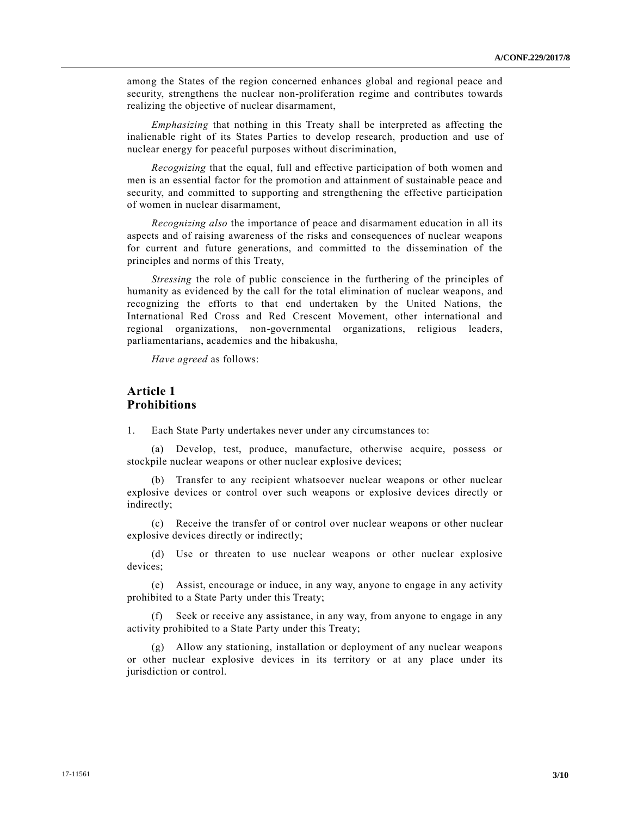among the States of the region concerned enhances global and regional peace and security, strengthens the nuclear non-proliferation regime and contributes towards realizing the objective of nuclear disarmament,

*Emphasizing* that nothing in this Treaty shall be interpreted as affecting the inalienable right of its States Parties to develop research, production and use of nuclear energy for peaceful purposes without discrimination,

*Recognizing* that the equal, full and effective participation of both women and men is an essential factor for the promotion and attainment of sustainable peace and security, and committed to supporting and strengthening the effective participation of women in nuclear disarmament,

*Recognizing also* the importance of peace and disarmament education in all its aspects and of raising awareness of the risks and consequences of nuclear weapons for current and future generations, and committed to the dissemination of the principles and norms of this Treaty,

*Stressing* the role of public conscience in the furthering of the principles of humanity as evidenced by the call for the total elimination of nuclear weapons, and recognizing the efforts to that end undertaken by the United Nations, the International Red Cross and Red Crescent Movement, other international and regional organizations, non-governmental organizations, religious leaders, parliamentarians, academics and the hibakusha,

*Have agreed* as follows:

#### **Article 1 Prohibitions**

1. Each State Party undertakes never under any circumstances to:

(a) Develop, test, produce, manufacture, otherwise acquire, possess or stockpile nuclear weapons or other nuclear explosive devices;

(b) Transfer to any recipient whatsoever nuclear weapons or other nuclear explosive devices or control over such weapons or explosive devices directly or indirectly;

(c) Receive the transfer of or control over nuclear weapons or other nuclear explosive devices directly or indirectly;

(d) Use or threaten to use nuclear weapons or other nuclear explosive devices;

(e) Assist, encourage or induce, in any way, anyone to engage in any activity prohibited to a State Party under this Treaty;

(f) Seek or receive any assistance, in any way, from anyone to engage in any activity prohibited to a State Party under this Treaty;

(g) Allow any stationing, installation or deployment of any nuclear weapons or other nuclear explosive devices in its territory or at any place under its jurisdiction or control.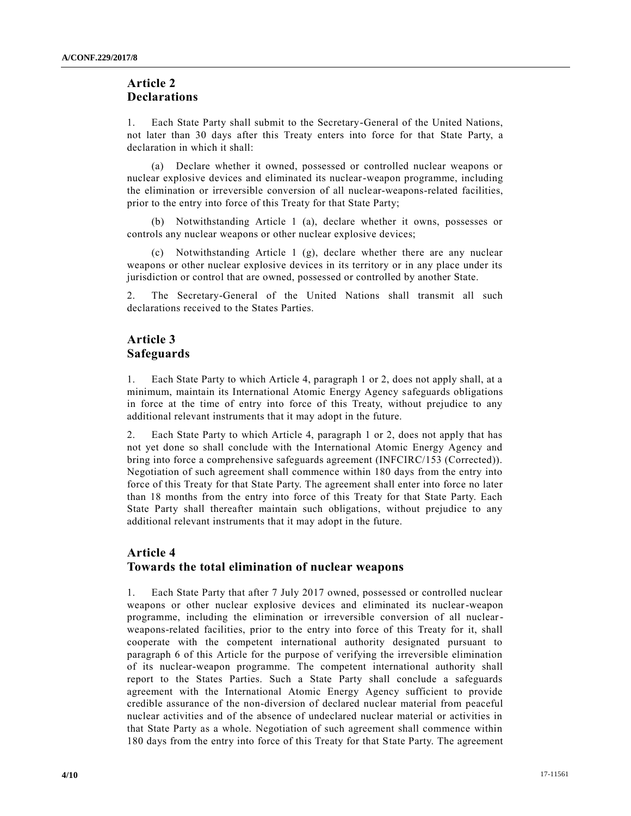#### **Article 2 Declarations**

1. Each State Party shall submit to the Secretary-General of the United Nations, not later than 30 days after this Treaty enters into force for that State Party, a declaration in which it shall:

(a) Declare whether it owned, possessed or controlled nuclear weapons or nuclear explosive devices and eliminated its nuclear-weapon programme, including the elimination or irreversible conversion of all nuclear-weapons-related facilities, prior to the entry into force of this Treaty for that State Party;

(b) Notwithstanding Article 1 (a), declare whether it owns, possesses or controls any nuclear weapons or other nuclear explosive devices;

(c) Notwithstanding Article 1 (g), declare whether there are any nuclear weapons or other nuclear explosive devices in its territory or in any place under its jurisdiction or control that are owned, possessed or controlled by another State.

2. The Secretary-General of the United Nations shall transmit all such declarations received to the States Parties.

### **Article 3 Safeguards**

1. Each State Party to which Article 4, paragraph 1 or 2, does not apply shall, at a minimum, maintain its International Atomic Energy Agency safeguards obligations in force at the time of entry into force of this Treaty, without prejudice to any additional relevant instruments that it may adopt in the future.

2. Each State Party to which Article 4, paragraph 1 or 2, does not apply that has not yet done so shall conclude with the International Atomic Energy Agency and bring into force a comprehensive safeguards agreement (INFCIRC/153 (Corrected)). Negotiation of such agreement shall commence within 180 days from the entry into force of this Treaty for that State Party. The agreement shall enter into force no later than 18 months from the entry into force of this Treaty for that State Party. Each State Party shall thereafter maintain such obligations, without prejudice to any additional relevant instruments that it may adopt in the future.

## **Article 4 Towards the total elimination of nuclear weapons**

1. Each State Party that after 7 July 2017 owned, possessed or controlled nuclear weapons or other nuclear explosive devices and eliminated its nuclear-weapon programme, including the elimination or irreversible conversion of all nuclearweapons-related facilities, prior to the entry into force of this Treaty for it, shall cooperate with the competent international authority designated pursuant to paragraph 6 of this Article for the purpose of verifying the irreversible elimination of its nuclear-weapon programme. The competent international authority shall report to the States Parties. Such a State Party shall conclude a safeguards agreement with the International Atomic Energy Agency sufficient to provide credible assurance of the non-diversion of declared nuclear material from peaceful nuclear activities and of the absence of undeclared nuclear material or activities in that State Party as a whole. Negotiation of such agreement shall commence within 180 days from the entry into force of this Treaty for that State Party. The agreement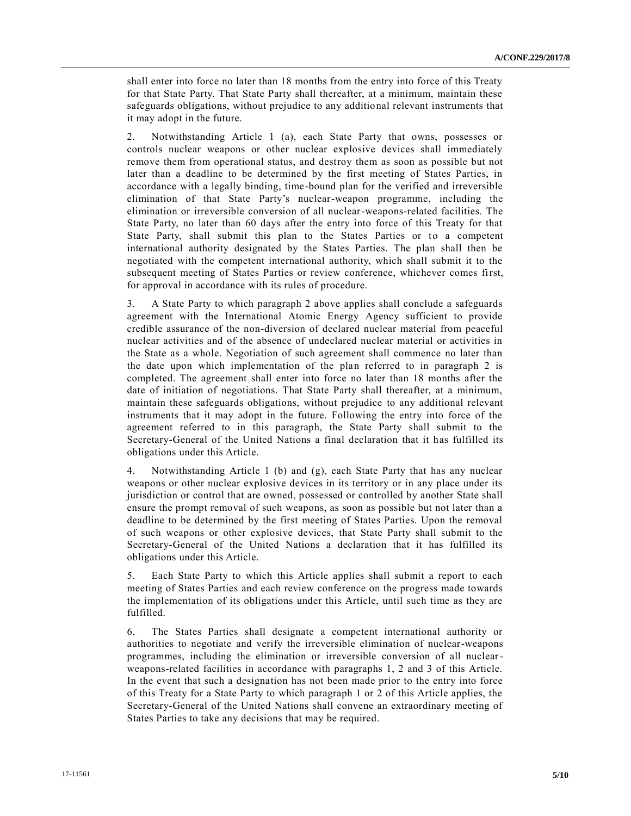shall enter into force no later than 18 months from the entry into force of this Treaty for that State Party. That State Party shall thereafter, at a minimum, maintain these safeguards obligations, without prejudice to any additional relevant instruments that it may adopt in the future.

2. Notwithstanding Article 1 (a), each State Party that owns, possesses or controls nuclear weapons or other nuclear explosive devices shall immediately remove them from operational status, and destroy them as soon as possible but not later than a deadline to be determined by the first meeting of States Parties, in accordance with a legally binding, time-bound plan for the verified and irreversible elimination of that State Party's nuclear-weapon programme, including the elimination or irreversible conversion of all nuclear-weapons-related facilities. The State Party, no later than 60 days after the entry into force of this Treaty for that State Party, shall submit this plan to the States Parties or to a competent international authority designated by the States Parties. The plan shall then be negotiated with the competent international authority, which shall submit it to the subsequent meeting of States Parties or review conference, whichever comes first, for approval in accordance with its rules of procedure.

3. A State Party to which paragraph 2 above applies shall conclude a safeguards agreement with the International Atomic Energy Agency sufficient to provide credible assurance of the non-diversion of declared nuclear material from peaceful nuclear activities and of the absence of undeclared nuclear material or activities in the State as a whole. Negotiation of such agreement shall commence no later than the date upon which implementation of the plan referred to in paragraph 2 is completed. The agreement shall enter into force no later than 18 months after the date of initiation of negotiations. That State Party shall thereafter, at a minimum, maintain these safeguards obligations, without prejudice to any additional relevant instruments that it may adopt in the future. Following the entry into force of the agreement referred to in this paragraph, the State Party shall submit to the Secretary-General of the United Nations a final declaration that it has fulfilled its obligations under this Article.

4. Notwithstanding Article 1 (b) and (g), each State Party that has any nuclear weapons or other nuclear explosive devices in its territory or in any place under its jurisdiction or control that are owned, possessed or controlled by another State shall ensure the prompt removal of such weapons, as soon as possible but not later than a deadline to be determined by the first meeting of States Parties. Upon the removal of such weapons or other explosive devices, that State Party shall submit to the Secretary-General of the United Nations a declaration that it has fulfilled its obligations under this Article.

5. Each State Party to which this Article applies shall submit a report to each meeting of States Parties and each review conference on the progress made towards the implementation of its obligations under this Article, until such time as they are fulfilled.

6. The States Parties shall designate a competent international authority or authorities to negotiate and verify the irreversible elimination of nuclear-weapons programmes, including the elimination or irreversible conversion of all nuclearweapons-related facilities in accordance with paragraphs 1, 2 and 3 of this Article. In the event that such a designation has not been made prior to the entry into force of this Treaty for a State Party to which paragraph 1 or 2 of this Article applies, the Secretary-General of the United Nations shall convene an extraordinary meeting of States Parties to take any decisions that may be required.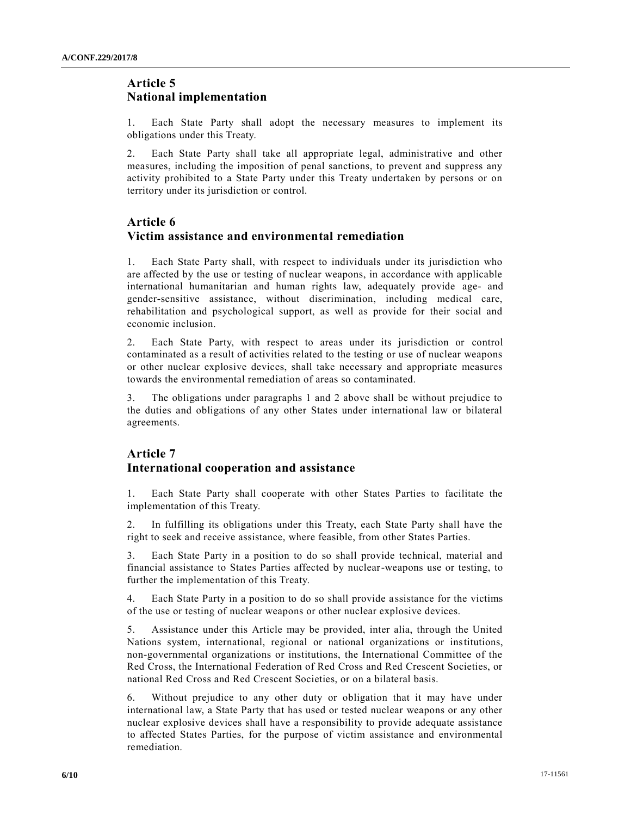### **Article 5 National implementation**

1. Each State Party shall adopt the necessary measures to implement its obligations under this Treaty.

2. Each State Party shall take all appropriate legal, administrative and other measures, including the imposition of penal sanctions, to prevent and suppress any activity prohibited to a State Party under this Treaty undertaken by persons or on territory under its jurisdiction or control.

### **Article 6 Victim assistance and environmental remediation**

1. Each State Party shall, with respect to individuals under its jurisdiction who are affected by the use or testing of nuclear weapons, in accordance with applicable international humanitarian and human rights law, adequately provide age- and gender-sensitive assistance, without discrimination, including medical care, rehabilitation and psychological support, as well as provide for their social and economic inclusion.

2. Each State Party, with respect to areas under its jurisdiction or control contaminated as a result of activities related to the testing or use of nuclear weapons or other nuclear explosive devices, shall take necessary and appropriate measures towards the environmental remediation of areas so contaminated.

3. The obligations under paragraphs 1 and 2 above shall be without prejudice to the duties and obligations of any other States under international law or bilateral agreements.

## **Article 7 International cooperation and assistance**

1. Each State Party shall cooperate with other States Parties to facilitate the implementation of this Treaty.

2. In fulfilling its obligations under this Treaty, each State Party shall have the right to seek and receive assistance, where feasible, from other States Parties.

3. Each State Party in a position to do so shall provide technical, material and financial assistance to States Parties affected by nuclear-weapons use or testing, to further the implementation of this Treaty.

4. Each State Party in a position to do so shall provide assistance for the victims of the use or testing of nuclear weapons or other nuclear explosive devices.

5. Assistance under this Article may be provided, inter alia, through the United Nations system, international, regional or national organizations or institutions, non-governmental organizations or institutions, the International Committee of the Red Cross, the International Federation of Red Cross and Red Crescent Societies, or national Red Cross and Red Crescent Societies, or on a bilateral basis.

6. Without prejudice to any other duty or obligation that it may have under international law, a State Party that has used or tested nuclear weapons or any other nuclear explosive devices shall have a responsibility to provide adequate assistance to affected States Parties, for the purpose of victim assistance and environmental remediation.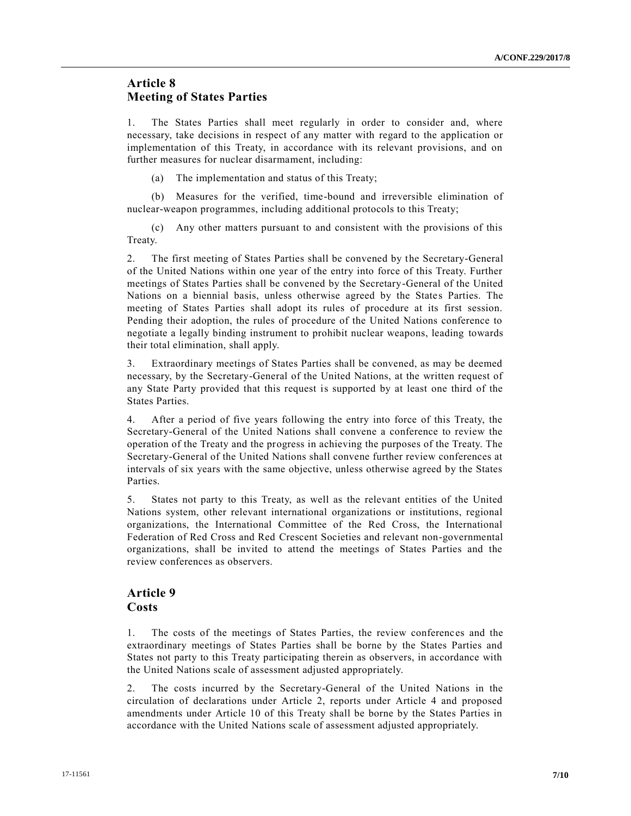#### **Article 8 Meeting of States Parties**

1. The States Parties shall meet regularly in order to consider and, where necessary, take decisions in respect of any matter with regard to the application or implementation of this Treaty, in accordance with its relevant provisions, and on further measures for nuclear disarmament, including:

(a) The implementation and status of this Treaty;

(b) Measures for the verified, time-bound and irreversible elimination of nuclear-weapon programmes, including additional protocols to this Treaty;

(c) Any other matters pursuant to and consistent with the provisions of this Treaty.

2. The first meeting of States Parties shall be convened by the Secretary-General of the United Nations within one year of the entry into force of this Treaty. Further meetings of States Parties shall be convened by the Secretary-General of the United Nations on a biennial basis, unless otherwise agreed by the States Parties. The meeting of States Parties shall adopt its rules of procedure at its first session. Pending their adoption, the rules of procedure of the United Nations conference to negotiate a legally binding instrument to prohibit nuclear weapons, leading towards their total elimination, shall apply.

3. Extraordinary meetings of States Parties shall be convened, as may be deemed necessary, by the Secretary-General of the United Nations, at the written request of any State Party provided that this request is supported by at least one third of the States Parties.

4. After a period of five years following the entry into force of this Treaty, the Secretary-General of the United Nations shall convene a conference to review the operation of the Treaty and the progress in achieving the purposes of the Treaty. The Secretary-General of the United Nations shall convene further review conferences at intervals of six years with the same objective, unless otherwise agreed by the States Parties.

5. States not party to this Treaty, as well as the relevant entities of the United Nations system, other relevant international organizations or institutions, regional organizations, the International Committee of the Red Cross, the International Federation of Red Cross and Red Crescent Societies and relevant non-governmental organizations, shall be invited to attend the meetings of States Parties and the review conferences as observers.

#### **Article 9 Costs**

1. The costs of the meetings of States Parties, the review conferences and the extraordinary meetings of States Parties shall be borne by the States Parties and States not party to this Treaty participating therein as observers, in accordance with the United Nations scale of assessment adjusted appropriately.

2. The costs incurred by the Secretary-General of the United Nations in the circulation of declarations under Article 2, reports under Article 4 and proposed amendments under Article 10 of this Treaty shall be borne by the States Parties in accordance with the United Nations scale of assessment adjusted appropriately.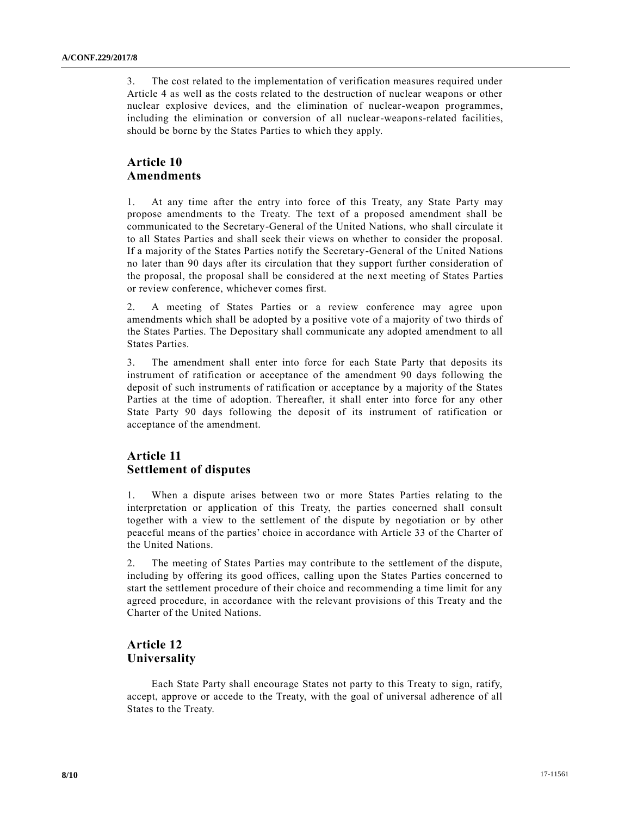3. The cost related to the implementation of verification measures required under Article 4 as well as the costs related to the destruction of nuclear weapons or other nuclear explosive devices, and the elimination of nuclear-weapon programmes, including the elimination or conversion of all nuclear-weapons-related facilities, should be borne by the States Parties to which they apply.

### **Article 10 Amendments**

1. At any time after the entry into force of this Treaty, any State Party may propose amendments to the Treaty. The text of a proposed amendment shall be communicated to the Secretary-General of the United Nations, who shall circulate it to all States Parties and shall seek their views on whether to consider the proposal. If a majority of the States Parties notify the Secretary-General of the United Nations no later than 90 days after its circulation that they support further consideration of the proposal, the proposal shall be considered at the next meeting of States Parties or review conference, whichever comes first.

2. A meeting of States Parties or a review conference may agree upon amendments which shall be adopted by a positive vote of a majority of two thirds of the States Parties. The Depositary shall communicate any adopted amendment to all States Parties.

3. The amendment shall enter into force for each State Party that deposits its instrument of ratification or acceptance of the amendment 90 days following the deposit of such instruments of ratification or acceptance by a majority of the States Parties at the time of adoption. Thereafter, it shall enter into force for any other State Party 90 days following the deposit of its instrument of ratification or acceptance of the amendment.

#### **Article 11 Settlement of disputes**

1. When a dispute arises between two or more States Parties relating to the interpretation or application of this Treaty, the parties concerned shall consult together with a view to the settlement of the dispute by negotiation or by other peaceful means of the parties' choice in accordance with Article 33 of the Charter of the United Nations.

2. The meeting of States Parties may contribute to the settlement of the dispute, including by offering its good offices, calling upon the States Parties concerned to start the settlement procedure of their choice and recommending a time limit for any agreed procedure, in accordance with the relevant provisions of this Treaty and the Charter of the United Nations.

### **Article 12 Universality**

Each State Party shall encourage States not party to this Treaty to sign, ratify, accept, approve or accede to the Treaty, with the goal of universal adherence of all States to the Treaty.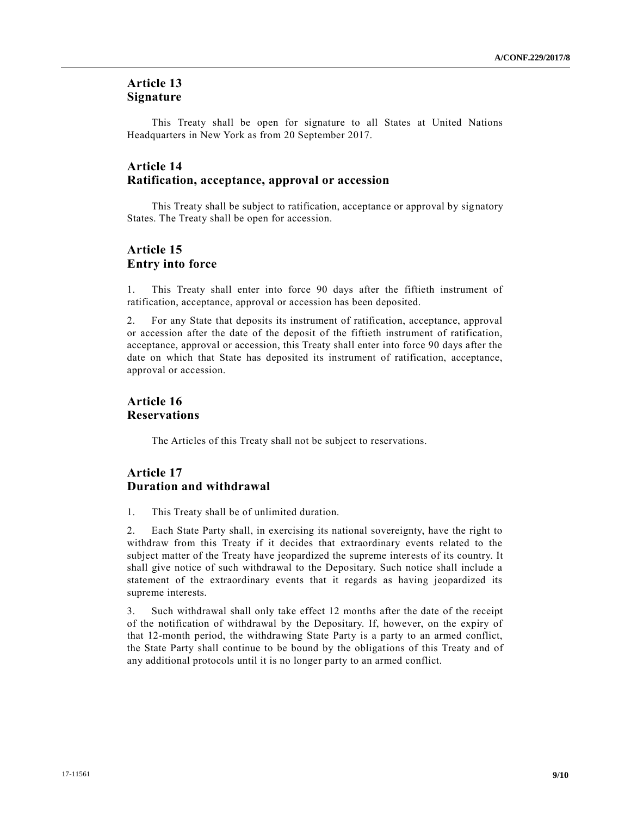#### **Article 13 Signature**

This Treaty shall be open for signature to all States at United Nations Headquarters in New York as from 20 September 2017.

### **Article 14 Ratification, acceptance, approval or accession**

This Treaty shall be subject to ratification, acceptance or approval by signatory States. The Treaty shall be open for accession.

#### **Article 15 Entry into force**

1. This Treaty shall enter into force 90 days after the fiftieth instrument of ratification, acceptance, approval or accession has been deposited.

2. For any State that deposits its instrument of ratification, acceptance, approval or accession after the date of the deposit of the fiftieth instrument of ratification, acceptance, approval or accession, this Treaty shall enter into force 90 days after the date on which that State has deposited its instrument of ratification, acceptance, approval or accession.

#### **Article 16 Reservations**

The Articles of this Treaty shall not be subject to reservations.

### **Article 17 Duration and withdrawal**

1. This Treaty shall be of unlimited duration.

2. Each State Party shall, in exercising its national sovereignty, have the right to withdraw from this Treaty if it decides that extraordinary events related to the subject matter of the Treaty have jeopardized the supreme interests of its country. It shall give notice of such withdrawal to the Depositary. Such notice shall include a statement of the extraordinary events that it regards as having jeopardized its supreme interests.

3. Such withdrawal shall only take effect 12 months after the date of the receipt of the notification of withdrawal by the Depositary. If, however, on the expiry of that 12-month period, the withdrawing State Party is a party to an armed conflict, the State Party shall continue to be bound by the obligations of this Treaty and of any additional protocols until it is no longer party to an armed conflict.